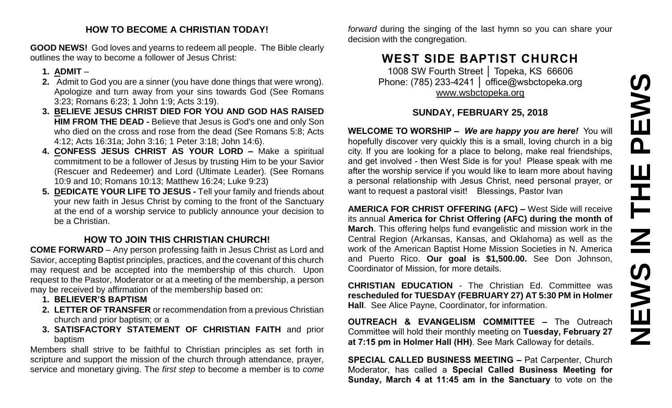### **HOW TO BECOME A CHRISTIAN TODAY!**

**GOOD NEWS!** God loves and yearns to redeem all people. The Bible clearly outlines the way to become a follower of Jesus Christ:

### **1. ADMIT** –

- **2.** Admit to God you are a sinner (you have done things that were wrong). Apologize and turn away from your sins towards God (See Romans 3:23; Romans 6:23; 1 John 1:9; Acts 3:19).
- **3. BELIEVE JESUS CHRIST DIED FOR YOU AND GOD HAS RAISED HIM FROM THE DEAD -** Believe that Jesus is God's one and only Son who died on the cross and rose from the dead (See Romans 5:8; Acts 4:12; Acts 16:31a; John 3:16; 1 Peter 3:18; John 14:6).
- **4. CONFESS JESUS CHRIST AS YOUR LORD –** Make a spiritual commitment to be a follower of Jesus by trusting Him to be your Savior (Rescuer and Redeemer) and Lord (Ultimate Leader). (See Romans 10:9 and 10; Romans 10:13; Matthew 16:24; Luke 9:23)
- **5. DEDICATE YOUR LIFE TO JESUS -** Tell your family and friends about your new faith in Jesus Christ by coming to the front of the Sanctuary at the end of a worship service to publicly announce your decision to be a Christian.

### **HOW TO JOIN THIS CHRISTIAN CHURCH!**

**COME FORWARD** – Any person professing faith in Jesus Christ as Lord and Savior, accepting Baptist principles, practices, and the covenant of this church may request and be accepted into the membership of this church. Upon request to the Pastor, Moderator or at a meeting of the membership, a person may be received by affirmation of the membership based on:

- **1. BELIEVER'S BAPTISM**
- **2. LETTER OF TRANSFER** or recommendation from a previous Christian church and prior baptism; or a
- **3. SATISFACTORY STATEMENT OF CHRISTIAN FAITH** and prior baptism

Members shall strive to be faithful to Christian principles as set forth in scripture and support the mission of the church through attendance, prayer, service and monetary giving. The *first step* to become a member is to *come* 

*forward* during the singing of the last hymn so you can share your decision with the congregation.

# **WEST SIDE BAPTIST CHURCH**

1008 SW Fourth Street | Topeka, KS 66606 Phone: (785) 233-4241 │ [office@wsbctopeka.org](mailto:office@wsbctopeka.org) [www.wsbctopeka.org](http://www.wsbctopeka.org/)

## **SUNDAY, FEBRUARY 25, 2018**

**WELCOME TO WORSHIP –** *We are happy you are here!* You will hopefully discover very quickly this is a small, loving church in a big city. If you are looking for a place to belong, make real friendships, and get involved - then West Side is for you! Please speak with me after the worship service if you would like to learn more about having a personal relationship with Jesus Christ, need personal prayer, or want to request a pastoral visit! Blessings, Pastor Ivan

**AMERICA FOR CHRIST OFFERING (AFC) –** West Side will receive its annual **America for Christ Offering (AFC) during the month of March**. This offering helps fund evangelistic and mission work in the Central Region (Arkansas, Kansas, and Oklahoma) as well as the work of the American Baptist Home Mission Societies in N. America and Puerto Rico. **Our goal is \$1,500.00.** See Don Johnson, Coordinator of Mission, for more details.

**CHRISTIAN EDUCATION** - The Christian Ed. Committee was **rescheduled for TUESDAY (FEBRUARY 27) AT 5:30 PM in Holmer Hall**. See Alice Payne, Coordinator, for information.

**OUTREACH & EVANGELISM COMMITTEE –** The Outreach Committee will hold their monthly meeting on **Tuesday, February 27 at 7:15 pm in Holmer Hall (HH)**. See Mark Calloway for details.

**SPECIAL CALLED BUSINESS MEETING –** Pat Carpenter, Church Moderator, has called a **Special Called Business Meeting for Sunday, March 4 at 11:45 am in the Sanctuary** to vote on the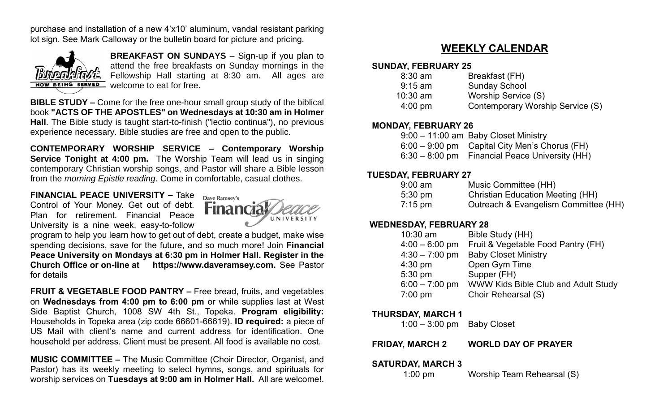purchase and installation of a new 4'x10' aluminum, vandal resistant parking lot sign. See Mark Calloway or the bulletin board for picture and pricing.



**BREAKFAST ON SUNDAYS** – Sign-up if you plan to attend the free breakfasts on Sunday mornings in the Fellowship Hall starting at 8:30 am. All ages are welcome to eat for free.

**BIBLE STUDY –** Come for the free one-hour small group study of the biblical book **"ACTS OF THE APOSTLES" on Wednesdays at 10:30 am in Holmer Hall**. The Bible study is taught start-to-finish ("lectio continua"), no previous experience necessary. Bible studies are free and open to the public.

**CONTEMPORARY WORSHIP SERVICE – Contemporary Worship Service Tonight at 4:00 pm.** The Worship Team will lead us in singing contemporary Christian worship songs, and Pastor will share a Bible lesson from the *morning Epistle reading*. Come in comfortable, casual clothes.

### **FINANCIAL PEACE UNIVERSITY –** Take

Control of Your Money. Get out of debt. Plan for retirement. Financial Peace University is a nine week, easy-to-follow



program to help you learn how to get out of debt, create a budget, make wise spending decisions, save for the future, and so much more! Join **Financial Peace University on Mondays at 6:30 pm in Holmer Hall. Register in the Church Office or on-line at https://www.daveramsey.com.** See Pastor for details

**FRUIT & VEGETABLE FOOD PANTRY –** Free bread, fruits, and vegetables on **Wednesdays from 4:00 pm to 6:00 pm** or while supplies last at West Side Baptist Church, 1008 SW 4th St., Topeka. **Program eligibility:**  Households in Topeka area (zip code 66601-66619). **ID required:** a piece of US Mail with client's name and current address for identification. One household per address. Client must be present. All food is available no cost.

**MUSIC COMMITTEE –** The Music Committee (Choir Director, Organist, and Pastor) has its weekly meeting to select hymns, songs, and spirituals for worship services on **Tuesdays at 9:00 am in Holmer Hall.** All are welcome!.

# **WEEKLY CALENDAR**

#### **SUNDAY, FEBRUARY 25**

| $8:30$ am         | Breakfast (FH)                   |
|-------------------|----------------------------------|
| $9:15$ am         | <b>Sunday School</b>             |
| $10:30$ am        | Worship Service (S)              |
| $4:00 \text{ pm}$ | Contemporary Worship Service (S) |

#### **MONDAY, FEBRUARY 26**

| 9:00 - 11:00 am Baby Closet Ministry            |
|-------------------------------------------------|
| $6:00 - 9:00$ pm Capital City Men's Chorus (FH) |
| 6:30 – 8:00 pm Financial Peace University (HH)  |

#### **TUESDAY, FEBRUARY 27**

| $9:00$ am | Music Committee (HH)                    |
|-----------|-----------------------------------------|
| 5:30 pm   | <b>Christian Education Meeting (HH)</b> |
| $7:15$ pm | Outreach & Evangelism Committee (HH)    |

#### **WEDNESDAY, FEBRUARY 28**

| $10:30$ am       | Bible Study (HH)                    |
|------------------|-------------------------------------|
| $4:00 - 6:00$ pm | Fruit & Vegetable Food Pantry (FH)  |
| $4:30 - 7:00$ pm | <b>Baby Closet Ministry</b>         |
| $4:30$ pm        | Open Gym Time                       |
| 5:30 pm          | Supper (FH)                         |
| $6:00 - 7:00$ pm | WWW Kids Bible Club and Adult Study |
| $7:00$ pm        | Choir Rehearsal (S)                 |
|                  |                                     |

#### **THURSDAY, MARCH 1**

1:00 – 3:00 pm Baby Closet

**FRIDAY, MARCH 2 WORLD DAY OF PRAYER**

#### **SATURDAY, MARCH 3**

1:00 pm Worship Team Rehearsal (S)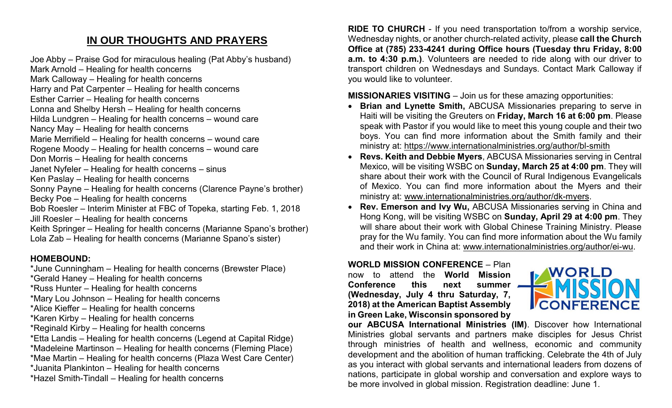# **IN OUR THOUGHTS AND PRAYERS**

Joe Abby – Praise God for miraculous healing (Pat Abby's husband)

Mark Arnold – Healing for health concerns

Mark Calloway – Healing for health concerns

Harry and Pat Carpenter – Healing for health concerns

Esther Carrier – Healing for health concerns

Lonna and Shelby Hersh – Healing for health concerns

Hilda Lundgren – Healing for health concerns – wound care

Nancy May – Healing for health concerns

Marie Merrifield – Healing for health concerns – wound care

Rogene Moody – Healing for health concerns – wound care

- Don Morris Healing for health concerns
- Janet Nyfeler Healing for health concerns sinus
- Ken Paslay Healing for health concerns
- Sonny Payne Healing for health concerns (Clarence Payne's brother) Becky Poe – Healing for health concerns
- Bob Roesler Interim Minister at FBC of Topeka, starting Feb. 1, 2018 Jill Roesler – Healing for health concerns

Keith Springer – Healing for health concerns (Marianne Spano's brother) Lola Zab – Healing for health concerns (Marianne Spano's sister)

## **HOMEBOUND:**

\*June Cunningham – Healing for health concerns (Brewster Place)

\*Gerald Haney – Healing for health concerns

- \*Russ Hunter Healing for health concerns
- \*Mary Lou Johnson Healing for health concerns
- \*Alice Kieffer Healing for health concerns
- \*Karen Kirby Healing for health concerns
- \*Reginald Kirby Healing for health concerns
- \*Etta Landis Healing for health concerns (Legend at Capital Ridge)
- \*Madeleine Martinson Healing for health concerns (Fleming Place)
- \*Mae Martin Healing for health concerns (Plaza West Care Center)
- \*Juanita Plankinton Healing for health concerns
- \*Hazel Smith-Tindall Healing for health concerns

**RIDE TO CHURCH** - If you need transportation to/from a worship service, Wednesday nights, or another church-related activity, please **call the Church Office at (785) 233-4241 during Office hours (Tuesday thru Friday, 8:00 a.m. to 4:30 p.m.)**. Volunteers are needed to ride along with our driver to transport children on Wednesdays and Sundays. Contact Mark Calloway if you would like to volunteer.

# **MISSIONARIES VISITING** – Join us for these amazing opportunities:

- **Brian and Lynette Smith,** ABCUSA Missionaries preparing to serve in Haiti will be visiting the Greuters on **Friday, March 16 at 6:00 pm**. Please speak with Pastor if you would like to meet this young couple and their two boys. You can find more information about the Smith family and their ministry at:<https://www.internationalministries.org/author/bl-smith>
- **Revs. Keith and Debbie Myers**, ABCUSA Missionaries serving in Central Mexico, will be visiting WSBC on **Sunday, March 25 at 4:00 pm**. They will share about their work with the Council of Rural Indigenous Evangelicals of Mexico. You can find more information about the Myers and their ministry at: [www.internationalministries.org/author/dk-myers.](http://www.internationalministries.org/author/dk-myers)
- **Rev. Emerson and Ivy Wu,** ABCUSA Missionaries serving in China and Hong Kong, will be visiting WSBC on **Sunday, April 29 at 4:00 pm**. They will share about their work with Global Chinese Training Ministry. Please pray for the Wu family. You can find more information about the Wu family and their work in China at: [www.internationalministries.org/author/ei-wu.](http://www.internationalministries.org/author/ei-wu)

### **WORLD MISSION CONFERENCE** – Plan

now to attend the **World Mission Conference this next summer (Wednesday, July 4 thru Saturday, 7, 2018) at the American Baptist Assembly in Green Lake, Wisconsin sponsored by** 



**our ABCUSA International Ministries (IM)**. Discover how International Ministries global servants and partners make disciples for Jesus Christ through ministries of health and wellness, economic and community development and the abolition of human trafficking. Celebrate the 4th of July as you interact with global servants and international leaders from dozens of nations, participate in global worship and conversation and explore ways to be more involved in global mission. Registration deadline: June 1.